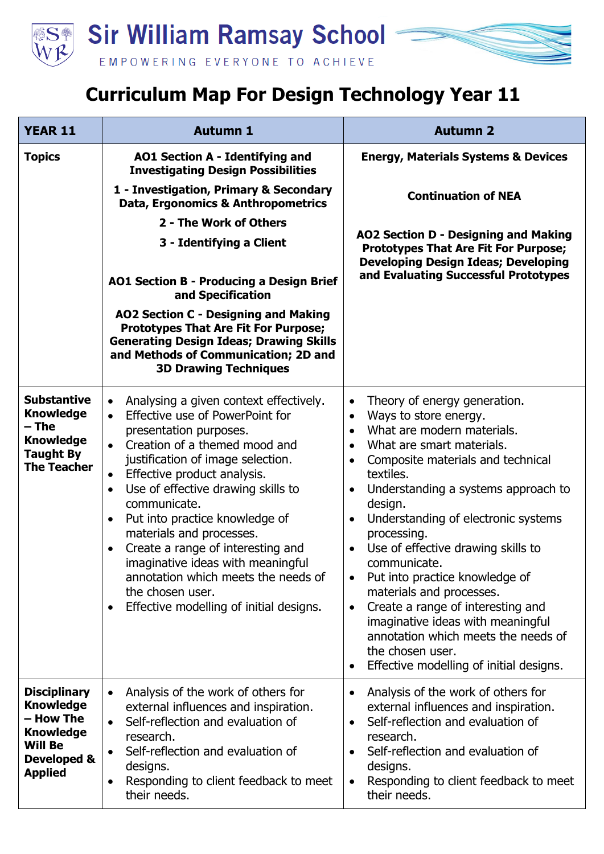

## **Curriculum Map For Design Technology Year 11**

| <b>YEAR 11</b>                                                                                                              | <b>Autumn 1</b>                                                                                                                                                                                                                                                                                                                                                                                                                                                                                                                                                                    | <b>Autumn 2</b>                                                                                                                                                                                                                                                                                                                                                                                                                                                                                                                                                                                                                                                                                     |  |
|-----------------------------------------------------------------------------------------------------------------------------|------------------------------------------------------------------------------------------------------------------------------------------------------------------------------------------------------------------------------------------------------------------------------------------------------------------------------------------------------------------------------------------------------------------------------------------------------------------------------------------------------------------------------------------------------------------------------------|-----------------------------------------------------------------------------------------------------------------------------------------------------------------------------------------------------------------------------------------------------------------------------------------------------------------------------------------------------------------------------------------------------------------------------------------------------------------------------------------------------------------------------------------------------------------------------------------------------------------------------------------------------------------------------------------------------|--|
| <b>Topics</b>                                                                                                               | AO1 Section A - Identifying and<br><b>Investigating Design Possibilities</b>                                                                                                                                                                                                                                                                                                                                                                                                                                                                                                       | <b>Energy, Materials Systems &amp; Devices</b>                                                                                                                                                                                                                                                                                                                                                                                                                                                                                                                                                                                                                                                      |  |
|                                                                                                                             | 1 - Investigation, Primary & Secondary<br>Data, Ergonomics & Anthropometrics                                                                                                                                                                                                                                                                                                                                                                                                                                                                                                       | <b>Continuation of NEA</b>                                                                                                                                                                                                                                                                                                                                                                                                                                                                                                                                                                                                                                                                          |  |
|                                                                                                                             | 2 - The Work of Others                                                                                                                                                                                                                                                                                                                                                                                                                                                                                                                                                             | AO2 Section D - Designing and Making                                                                                                                                                                                                                                                                                                                                                                                                                                                                                                                                                                                                                                                                |  |
|                                                                                                                             | 3 - Identifying a Client                                                                                                                                                                                                                                                                                                                                                                                                                                                                                                                                                           | <b>Prototypes That Are Fit For Purpose;</b><br><b>Developing Design Ideas; Developing</b>                                                                                                                                                                                                                                                                                                                                                                                                                                                                                                                                                                                                           |  |
|                                                                                                                             | <b>AO1 Section B - Producing a Design Brief</b><br>and Specification                                                                                                                                                                                                                                                                                                                                                                                                                                                                                                               | and Evaluating Successful Prototypes                                                                                                                                                                                                                                                                                                                                                                                                                                                                                                                                                                                                                                                                |  |
|                                                                                                                             | AO2 Section C - Designing and Making<br><b>Prototypes That Are Fit For Purpose;</b><br><b>Generating Design Ideas; Drawing Skills</b><br>and Methods of Communication; 2D and<br><b>3D Drawing Techniques</b>                                                                                                                                                                                                                                                                                                                                                                      |                                                                                                                                                                                                                                                                                                                                                                                                                                                                                                                                                                                                                                                                                                     |  |
| <b>Substantive</b><br><b>Knowledge</b><br>– The<br><b>Knowledge</b><br><b>Taught By</b><br><b>The Teacher</b>               | Analysing a given context effectively.<br>$\bullet$<br>Effective use of PowerPoint for<br>$\bullet$<br>presentation purposes.<br>Creation of a themed mood and<br>justification of image selection.<br>Effective product analysis.<br>$\bullet$<br>Use of effective drawing skills to<br>$\bullet$<br>communicate.<br>Put into practice knowledge of<br>$\bullet$<br>materials and processes.<br>Create a range of interesting and<br>imaginative ideas with meaningful<br>annotation which meets the needs of<br>the chosen user.<br>Effective modelling of initial designs.<br>٠ | Theory of energy generation.<br>$\bullet$<br>Ways to store energy.<br>$\bullet$<br>What are modern materials.<br>$\bullet$<br>What are smart materials.<br>$\bullet$<br>Composite materials and technical<br>$\bullet$<br>textiles.<br>Understanding a systems approach to<br>$\bullet$<br>design.<br>Understanding of electronic systems<br>$\bullet$<br>processing.<br>Use of effective drawing skills to<br>communicate.<br>Put into practice knowledge of<br>materials and processes.<br>Create a range of interesting and<br>$\bullet$<br>imaginative ideas with meaningful<br>annotation which meets the needs of<br>the chosen user.<br>Effective modelling of initial designs.<br>$\bullet$ |  |
| <b>Disciplinary</b><br><b>Knowledge</b><br>– How The<br><b>Knowledge</b><br><b>Will Be</b><br>Developed &<br><b>Applied</b> | Analysis of the work of others for<br>$\bullet$<br>external influences and inspiration.<br>Self-reflection and evaluation of<br>$\bullet$<br>research.<br>Self-reflection and evaluation of<br>$\bullet$<br>designs.<br>Responding to client feedback to meet<br>their needs.                                                                                                                                                                                                                                                                                                      | Analysis of the work of others for<br>external influences and inspiration.<br>Self-reflection and evaluation of<br>$\bullet$<br>research.<br>Self-reflection and evaluation of<br>$\bullet$<br>designs.<br>Responding to client feedback to meet<br>$\bullet$<br>their needs.                                                                                                                                                                                                                                                                                                                                                                                                                       |  |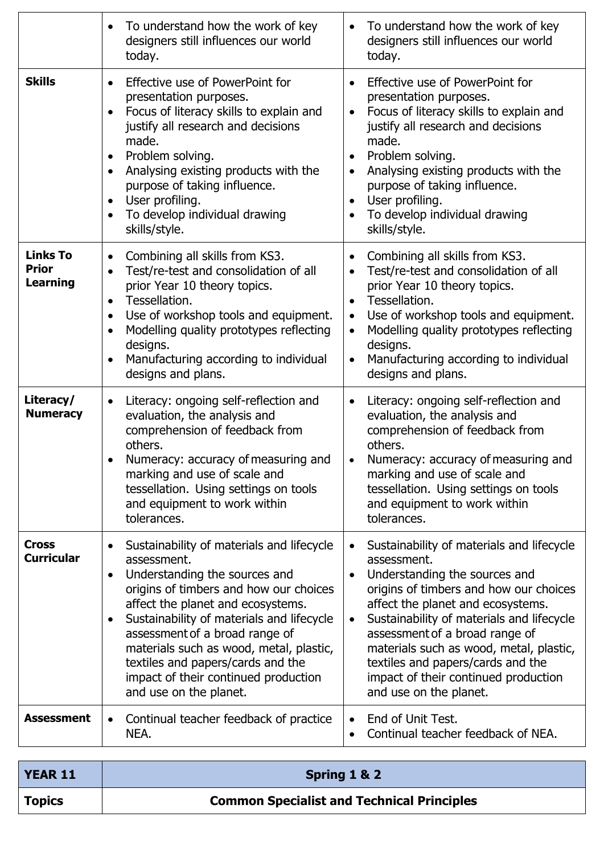|                                                    | To understand how the work of key<br>designers still influences our world<br>today.                                                                                                                                                                                                                                                                                                                                                 | To understand how the work of key<br>$\bullet$<br>designers still influences our world<br>today.                                                                                                                                                                                                                                                                                                                                    |
|----------------------------------------------------|-------------------------------------------------------------------------------------------------------------------------------------------------------------------------------------------------------------------------------------------------------------------------------------------------------------------------------------------------------------------------------------------------------------------------------------|-------------------------------------------------------------------------------------------------------------------------------------------------------------------------------------------------------------------------------------------------------------------------------------------------------------------------------------------------------------------------------------------------------------------------------------|
| <b>Skills</b>                                      | Effective use of PowerPoint for<br>$\bullet$<br>presentation purposes.<br>Focus of literacy skills to explain and<br>justify all research and decisions<br>made.<br>Problem solving.<br>$\bullet$<br>Analysing existing products with the<br>purpose of taking influence.<br>User profiling.<br>To develop individual drawing<br>skills/style.                                                                                      | Effective use of PowerPoint for<br>$\bullet$<br>presentation purposes.<br>Focus of literacy skills to explain and<br>$\bullet$<br>justify all research and decisions<br>made.<br>Problem solving.<br>$\bullet$<br>Analysing existing products with the<br>purpose of taking influence.<br>User profiling.<br>$\bullet$<br>To develop individual drawing<br>skills/style.                                                            |
| <b>Links To</b><br><b>Prior</b><br><b>Learning</b> | Combining all skills from KS3.<br>Test/re-test and consolidation of all<br>$\bullet$<br>prior Year 10 theory topics.<br>Tessellation.<br>$\bullet$<br>Use of workshop tools and equipment.<br>$\bullet$<br>Modelling quality prototypes reflecting<br>designs.<br>Manufacturing according to individual<br>designs and plans.                                                                                                       | Combining all skills from KS3.<br>$\bullet$<br>Test/re-test and consolidation of all<br>$\bullet$<br>prior Year 10 theory topics.<br>Tessellation.<br>$\bullet$<br>Use of workshop tools and equipment.<br>$\bullet$<br>Modelling quality prototypes reflecting<br>$\bullet$<br>designs.<br>Manufacturing according to individual<br>designs and plans.                                                                             |
| Literacy/<br><b>Numeracy</b>                       | Literacy: ongoing self-reflection and<br>evaluation, the analysis and<br>comprehension of feedback from<br>others.<br>Numeracy: accuracy of measuring and<br>marking and use of scale and<br>tessellation. Using settings on tools<br>and equipment to work within<br>tolerances.                                                                                                                                                   | Literacy: ongoing self-reflection and<br>evaluation, the analysis and<br>comprehension of feedback from<br>others.<br>Numeracy: accuracy of measuring and<br>marking and use of scale and<br>tessellation. Using settings on tools<br>and equipment to work within<br>tolerances.                                                                                                                                                   |
| <b>Cross</b><br><b>Curricular</b>                  | Sustainability of materials and lifecycle<br>assessment.<br>Understanding the sources and<br>$\bullet$<br>origins of timbers and how our choices<br>affect the planet and ecosystems.<br>Sustainability of materials and lifecycle<br>$\bullet$<br>assessment of a broad range of<br>materials such as wood, metal, plastic,<br>textiles and papers/cards and the<br>impact of their continued production<br>and use on the planet. | Sustainability of materials and lifecycle<br>assessment.<br>Understanding the sources and<br>$\bullet$<br>origins of timbers and how our choices<br>affect the planet and ecosystems.<br>Sustainability of materials and lifecycle<br>$\bullet$<br>assessment of a broad range of<br>materials such as wood, metal, plastic,<br>textiles and papers/cards and the<br>impact of their continued production<br>and use on the planet. |
| <b>Assessment</b>                                  | Continual teacher feedback of practice<br>$\bullet$<br>NEA.                                                                                                                                                                                                                                                                                                                                                                         | End of Unit Test.<br>Continual teacher feedback of NEA.<br>$\bullet$                                                                                                                                                                                                                                                                                                                                                                |

| <b>YEAR 11</b> | Spring 1 & 2                                      |
|----------------|---------------------------------------------------|
| <b>Topics</b>  | <b>Common Specialist and Technical Principles</b> |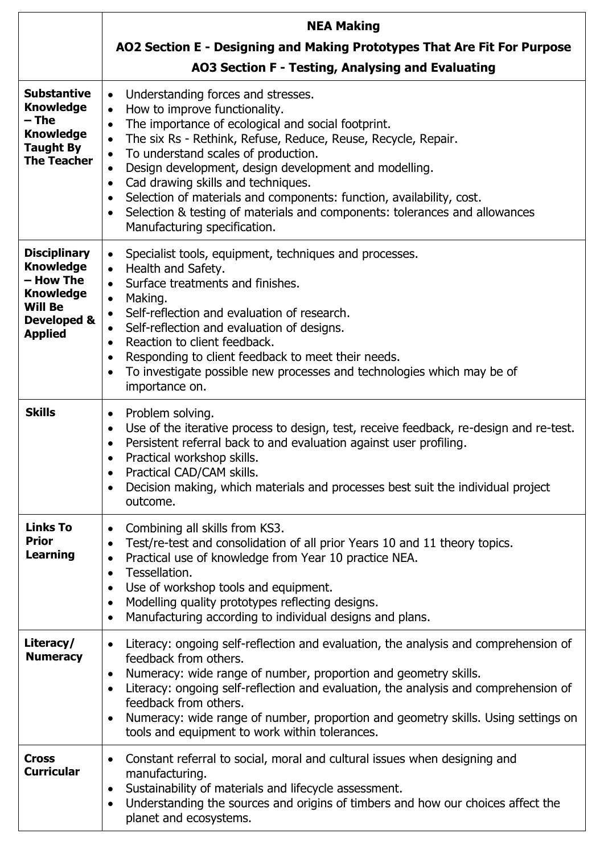|                                                                                                                             | <b>NEA Making</b>                                                                                                                                                                                                                                                                                                                                                                                                                                                                                                                                                                                                                           |  |
|-----------------------------------------------------------------------------------------------------------------------------|---------------------------------------------------------------------------------------------------------------------------------------------------------------------------------------------------------------------------------------------------------------------------------------------------------------------------------------------------------------------------------------------------------------------------------------------------------------------------------------------------------------------------------------------------------------------------------------------------------------------------------------------|--|
|                                                                                                                             | AO2 Section E - Designing and Making Prototypes That Are Fit For Purpose                                                                                                                                                                                                                                                                                                                                                                                                                                                                                                                                                                    |  |
|                                                                                                                             | AO3 Section F - Testing, Analysing and Evaluating                                                                                                                                                                                                                                                                                                                                                                                                                                                                                                                                                                                           |  |
| <b>Substantive</b><br><b>Knowledge</b><br>– The<br><b>Knowledge</b><br><b>Taught By</b><br><b>The Teacher</b>               | Understanding forces and stresses.<br>$\bullet$<br>How to improve functionality.<br>$\bullet$<br>The importance of ecological and social footprint.<br>$\bullet$<br>The six Rs - Rethink, Refuse, Reduce, Reuse, Recycle, Repair.<br>$\bullet$<br>To understand scales of production.<br>$\bullet$<br>Design development, design development and modelling.<br>$\bullet$<br>Cad drawing skills and techniques.<br>$\bullet$<br>Selection of materials and components: function, availability, cost.<br>$\bullet$<br>Selection & testing of materials and components: tolerances and allowances<br>$\bullet$<br>Manufacturing specification. |  |
| <b>Disciplinary</b><br><b>Knowledge</b><br>- How The<br><b>Knowledge</b><br><b>Will Be</b><br>Developed &<br><b>Applied</b> | Specialist tools, equipment, techniques and processes.<br>$\bullet$<br>Health and Safety.<br>$\bullet$<br>Surface treatments and finishes.<br>Making.<br>$\bullet$<br>Self-reflection and evaluation of research.<br>$\bullet$<br>Self-reflection and evaluation of designs.<br>$\bullet$<br>Reaction to client feedback.<br>$\bullet$<br>Responding to client feedback to meet their needs.<br>$\bullet$<br>To investigate possible new processes and technologies which may be of<br>$\bullet$<br>importance on.                                                                                                                          |  |
| <b>Skills</b>                                                                                                               | Problem solving.<br>$\bullet$<br>Use of the iterative process to design, test, receive feedback, re-design and re-test.<br>$\bullet$<br>Persistent referral back to and evaluation against user profiling.<br>$\bullet$<br>Practical workshop skills.<br>$\bullet$<br>Practical CAD/CAM skills.<br>$\bullet$<br>Decision making, which materials and processes best suit the individual project<br>outcome.                                                                                                                                                                                                                                 |  |
| <b>Links To</b><br><b>Prior</b><br>Learning                                                                                 | Combining all skills from KS3.<br>$\bullet$<br>Test/re-test and consolidation of all prior Years 10 and 11 theory topics.<br>$\bullet$<br>Practical use of knowledge from Year 10 practice NEA.<br>$\bullet$<br>Tessellation.<br>$\bullet$<br>Use of workshop tools and equipment.<br>$\bullet$<br>Modelling quality prototypes reflecting designs.<br>$\bullet$<br>Manufacturing according to individual designs and plans.<br>$\bullet$                                                                                                                                                                                                   |  |
| Literacy/<br><b>Numeracy</b>                                                                                                | Literacy: ongoing self-reflection and evaluation, the analysis and comprehension of<br>$\bullet$<br>feedback from others.<br>Numeracy: wide range of number, proportion and geometry skills.<br>$\bullet$<br>Literacy: ongoing self-reflection and evaluation, the analysis and comprehension of<br>feedback from others.<br>Numeracy: wide range of number, proportion and geometry skills. Using settings on<br>$\bullet$<br>tools and equipment to work within tolerances.                                                                                                                                                               |  |
| <b>Cross</b><br><b>Curricular</b>                                                                                           | Constant referral to social, moral and cultural issues when designing and<br>$\bullet$<br>manufacturing.<br>Sustainability of materials and lifecycle assessment.<br>$\bullet$<br>Understanding the sources and origins of timbers and how our choices affect the<br>$\bullet$<br>planet and ecosystems.                                                                                                                                                                                                                                                                                                                                    |  |